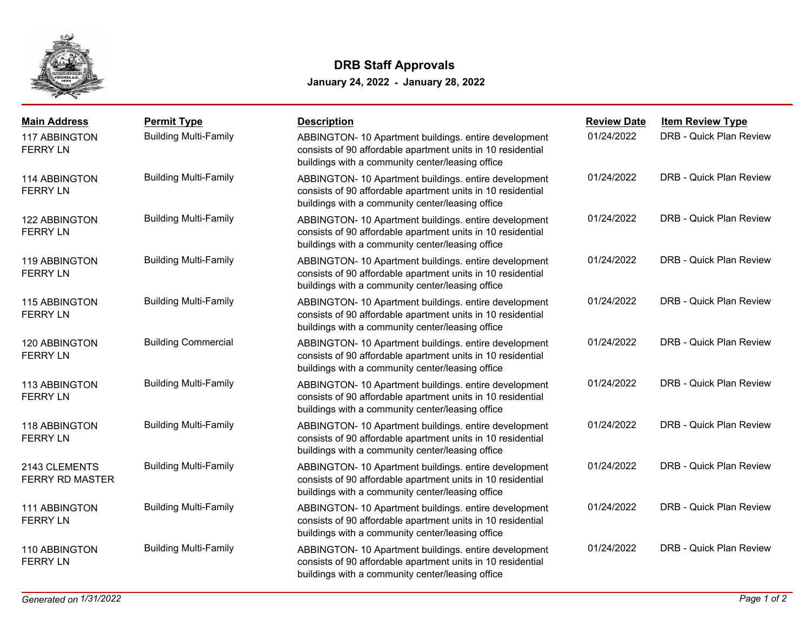

## **January 24, 2022 - January 28, 2022 DRB Staff Approvals**

| <b>Main Address</b>                     | <b>Permit Type</b>           | <b>Description</b>                                                                                                                                                       | <b>Review Date</b> | <b>Item Review Type</b> |
|-----------------------------------------|------------------------------|--------------------------------------------------------------------------------------------------------------------------------------------------------------------------|--------------------|-------------------------|
| <b>117 ABBINGTON</b><br><b>FERRY LN</b> | <b>Building Multi-Family</b> | ABBINGTON- 10 Apartment buildings. entire development<br>consists of 90 affordable apartment units in 10 residential<br>buildings with a community center/leasing office | 01/24/2022         | DRB - Quick Plan Review |
| 114 ABBINGTON<br><b>FERRY LN</b>        | <b>Building Multi-Family</b> | ABBINGTON- 10 Apartment buildings. entire development<br>consists of 90 affordable apartment units in 10 residential<br>buildings with a community center/leasing office | 01/24/2022         | DRB - Quick Plan Review |
| 122 ABBINGTON<br><b>FERRY LN</b>        | <b>Building Multi-Family</b> | ABBINGTON- 10 Apartment buildings. entire development<br>consists of 90 affordable apartment units in 10 residential<br>buildings with a community center/leasing office | 01/24/2022         | DRB - Quick Plan Review |
| 119 ABBINGTON<br><b>FERRY LN</b>        | <b>Building Multi-Family</b> | ABBINGTON- 10 Apartment buildings. entire development<br>consists of 90 affordable apartment units in 10 residential<br>buildings with a community center/leasing office | 01/24/2022         | DRB - Quick Plan Review |
| 115 ABBINGTON<br><b>FERRY LN</b>        | <b>Building Multi-Family</b> | ABBINGTON- 10 Apartment buildings. entire development<br>consists of 90 affordable apartment units in 10 residential<br>buildings with a community center/leasing office | 01/24/2022         | DRB - Quick Plan Review |
| 120 ABBINGTON<br><b>FERRY LN</b>        | <b>Building Commercial</b>   | ABBINGTON- 10 Apartment buildings. entire development<br>consists of 90 affordable apartment units in 10 residential<br>buildings with a community center/leasing office | 01/24/2022         | DRB - Quick Plan Review |
| 113 ABBINGTON<br><b>FERRY LN</b>        | <b>Building Multi-Family</b> | ABBINGTON- 10 Apartment buildings. entire development<br>consists of 90 affordable apartment units in 10 residential<br>buildings with a community center/leasing office | 01/24/2022         | DRB - Quick Plan Review |
| 118 ABBINGTON<br><b>FERRY LN</b>        | <b>Building Multi-Family</b> | ABBINGTON- 10 Apartment buildings. entire development<br>consists of 90 affordable apartment units in 10 residential<br>buildings with a community center/leasing office | 01/24/2022         | DRB - Quick Plan Review |
| 2143 CLEMENTS<br><b>FERRY RD MASTER</b> | <b>Building Multi-Family</b> | ABBINGTON- 10 Apartment buildings. entire development<br>consists of 90 affordable apartment units in 10 residential<br>buildings with a community center/leasing office | 01/24/2022         | DRB - Quick Plan Review |
| 111 ABBINGTON<br><b>FERRY LN</b>        | <b>Building Multi-Family</b> | ABBINGTON- 10 Apartment buildings. entire development<br>consists of 90 affordable apartment units in 10 residential<br>buildings with a community center/leasing office | 01/24/2022         | DRB - Quick Plan Review |
| 110 ABBINGTON<br><b>FERRY LN</b>        | <b>Building Multi-Family</b> | ABBINGTON- 10 Apartment buildings. entire development<br>consists of 90 affordable apartment units in 10 residential<br>buildings with a community center/leasing office | 01/24/2022         | DRB - Quick Plan Review |